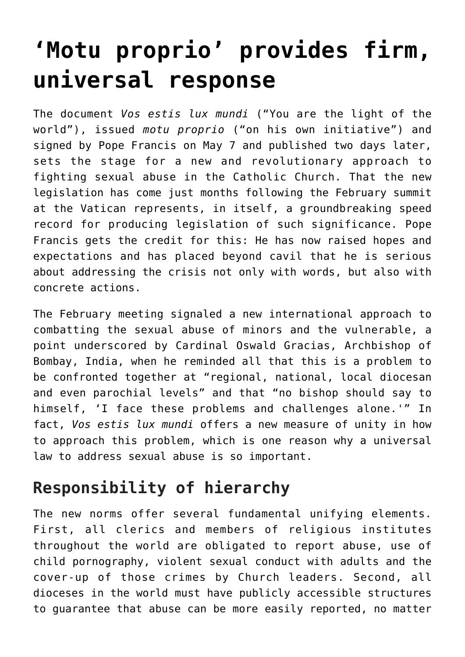# **['Motu proprio' provides firm,](https://www.osvnews.com/2019/05/13/motu-proprio-provides-firm-universal-response/) [universal response](https://www.osvnews.com/2019/05/13/motu-proprio-provides-firm-universal-response/)**

The document *Vos estis lux mundi* ("You are the light of the world"), issued *motu proprio* ("on his own initiative") and signed by Pope Francis on May 7 and published two days later, sets the stage for a new and revolutionary approach to fighting sexual abuse in the Catholic Church. That the new legislation has come just months following the February summit at the Vatican represents, in itself, a groundbreaking speed record for producing legislation of such significance. Pope Francis gets the credit for this: He has now raised hopes and expectations and has placed beyond cavil that he is serious about addressing the crisis not only with words, but also with concrete actions.

The February meeting signaled a new international approach to combatting the sexual abuse of minors and the vulnerable, a point underscored by Cardinal Oswald Gracias, Archbishop of Bombay, India, when he reminded all that this is a problem to be confronted together at "regional, national, local diocesan and even parochial levels" and that "no bishop should say to himself, 'I face these problems and challenges alone.'" In fact, *Vos estis lux mundi* offers a new measure of unity in how to approach this problem, which is one reason why a universal law to address sexual abuse is so important.

### **Responsibility of hierarchy**

The new norms offer several fundamental unifying elements. First, all clerics and members of religious institutes throughout the world are obligated to report abuse, use of child pornography, violent sexual conduct with adults and the cover-up of those crimes by Church leaders. Second, all dioceses in the world must have publicly accessible structures to guarantee that abuse can be more easily reported, no matter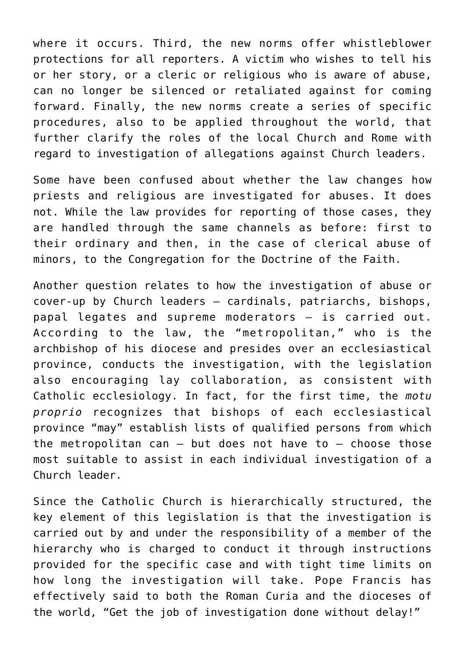where it occurs. Third, the new norms offer whistleblower protections for all reporters. A victim who wishes to tell his or her story, or a cleric or religious who is aware of abuse, can no longer be silenced or retaliated against for coming forward. Finally, the new norms create a series of specific procedures, also to be applied throughout the world, that further clarify the roles of the local Church and Rome with regard to investigation of allegations against Church leaders.

Some have been confused about whether the law changes how priests and religious are investigated for abuses. It does not. While the law provides for reporting of those cases, they are handled through the same channels as before: first to their ordinary and then, in the case of clerical abuse of minors, to the Congregation for the Doctrine of the Faith.

Another question relates to how the investigation of abuse or cover-up by Church leaders — cardinals, patriarchs, bishops, papal legates and supreme moderators — is carried out. According to the law, the "metropolitan," who is the archbishop of his diocese and presides over an ecclesiastical province, conducts the investigation, with the legislation also encouraging lay collaboration, as consistent with Catholic ecclesiology. In fact, for the first time, the *motu proprio* recognizes that bishops of each ecclesiastical province "may" establish lists of qualified persons from which the metropolitan can  $-$  but does not have to  $-$  choose those most suitable to assist in each individual investigation of a Church leader.

Since the Catholic Church is hierarchically structured, the key element of this legislation is that the investigation is carried out by and under the responsibility of a member of the hierarchy who is charged to conduct it through instructions provided for the specific case and with tight time limits on how long the investigation will take. Pope Francis has effectively said to both the Roman Curia and the dioceses of the world, "Get the job of investigation done without delay!"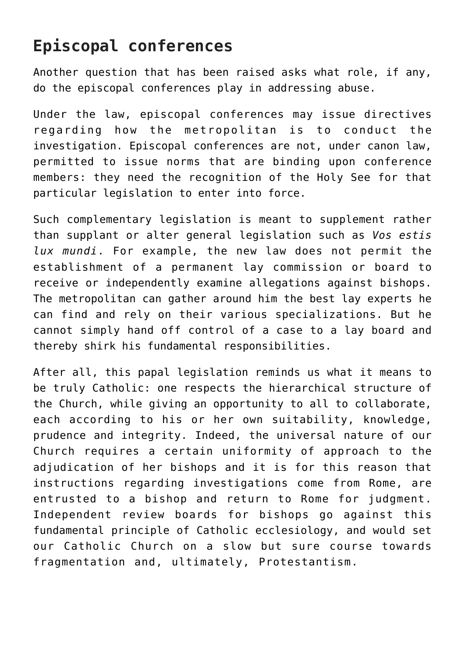#### **Episcopal conferences**

Another question that has been raised asks what role, if any, do the episcopal conferences play in addressing abuse.

Under the law, episcopal conferences may issue directives regarding how the metropolitan is to conduct the investigation. Episcopal conferences are not, under canon law, permitted to issue norms that are binding upon conference members: they need the recognition of the Holy See for that particular legislation to enter into force.

Such complementary legislation is meant to supplement rather than supplant or alter general legislation such as *Vos estis lux mundi*. For example, the new law does not permit the establishment of a permanent lay commission or board to receive or independently examine allegations against bishops. The metropolitan can gather around him the best lay experts he can find and rely on their various specializations. But he cannot simply hand off control of a case to a lay board and thereby shirk his fundamental responsibilities.

After all, this papal legislation reminds us what it means to be truly Catholic: one respects the hierarchical structure of the Church, while giving an opportunity to all to collaborate, each according to his or her own suitability, knowledge, prudence and integrity. Indeed, the universal nature of our Church requires a certain uniformity of approach to the adjudication of her bishops and it is for this reason that instructions regarding investigations come from Rome, are entrusted to a bishop and return to Rome for judgment. Independent review boards for bishops go against this fundamental principle of Catholic ecclesiology, and would set our Catholic Church on a slow but sure course towards fragmentation and, ultimately, Protestantism.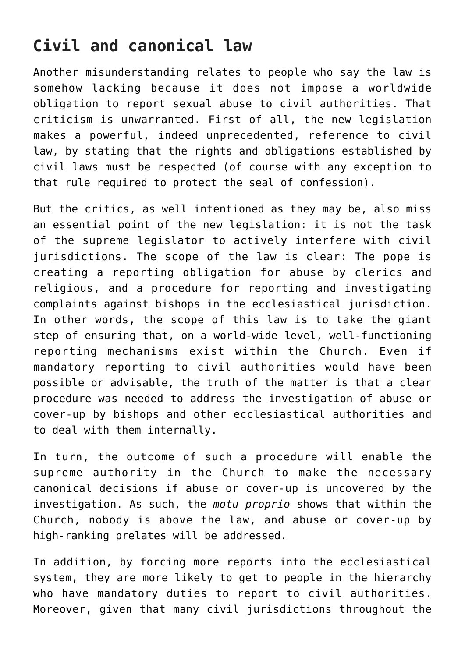## **Civil and canonical law**

Another misunderstanding relates to people who say the law is somehow lacking because it does not impose a worldwide obligation to report sexual abuse to civil authorities. That criticism is unwarranted. First of all, the new legislation makes a powerful, indeed unprecedented, reference to civil law, by stating that the rights and obligations established by civil laws must be respected (of course with any exception to that rule required to protect the seal of confession).

But the critics, as well intentioned as they may be, also miss an essential point of the new legislation: it is not the task of the supreme legislator to actively interfere with civil jurisdictions. The scope of the law is clear: The pope is creating a reporting obligation for abuse by clerics and religious, and a procedure for reporting and investigating complaints against bishops in the ecclesiastical jurisdiction. In other words, the scope of this law is to take the giant step of ensuring that, on a world-wide level, well-functioning reporting mechanisms exist within the Church. Even if mandatory reporting to civil authorities would have been possible or advisable, the truth of the matter is that a clear procedure was needed to address the investigation of abuse or cover-up by bishops and other ecclesiastical authorities and to deal with them internally.

In turn, the outcome of such a procedure will enable the supreme authority in the Church to make the necessary canonical decisions if abuse or cover-up is uncovered by the investigation. As such, the *motu proprio* shows that within the Church, nobody is above the law, and abuse or cover-up by high-ranking prelates will be addressed.

In addition, by forcing more reports into the ecclesiastical system, they are more likely to get to people in the hierarchy who have mandatory duties to report to civil authorities. Moreover, given that many civil jurisdictions throughout the